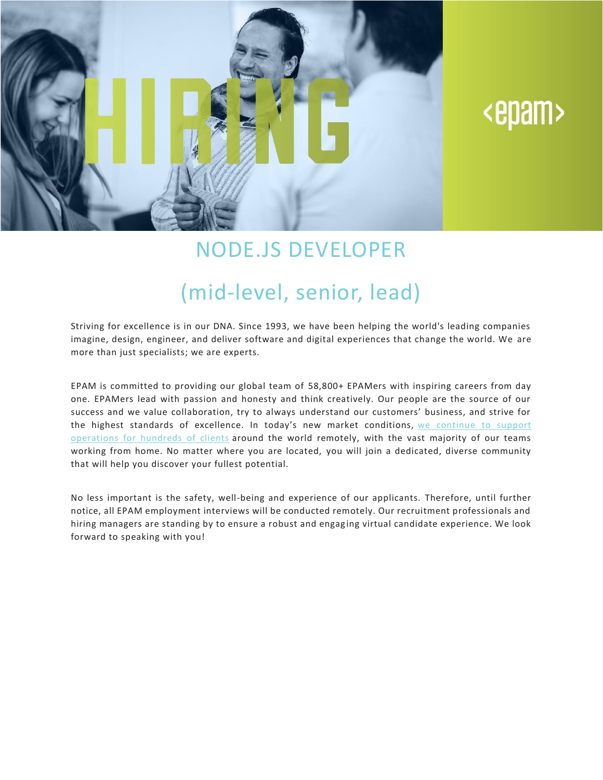

# <epam>

### NODE.JS DEVELOPER

## (mid-level, senior, lead)

Striving for excellence is in our DNA. Since 1993, we have been helping the world's leading companies imagine, design, engineer, and deliver software and digital experiences that change the world. We are more than just specialists; we are experts.

EPAM is committed to providing our global team of 58,800+ EPAMers with inspiring careers from day one. EPAMers lead with passion and honesty and think creatively. Our people are the source of our success and we value collaboration, try to always understand our customers' business, and strive for the highest standards of excellence. In today's new market conditions, we [continue](https://www.epam.com/ceo-update-covid-19) to support [operations](https://www.epam.com/ceo-update-covid-19) for hundreds of clients around the world remotely, with the vast majority of our teams working from home. No matter where you are located, you will join a dedicated, diverse community that will help you discover your fullest potential.

No less important is the safety, well-being and experience of our applicants. Therefore, until further notice, all EPAM employment interviews will be conducted remotely. Our recruitment professionals and hiring managers are standing by to ensure a robust and engag ing virtual candidate experience. We look forward to speaking with you!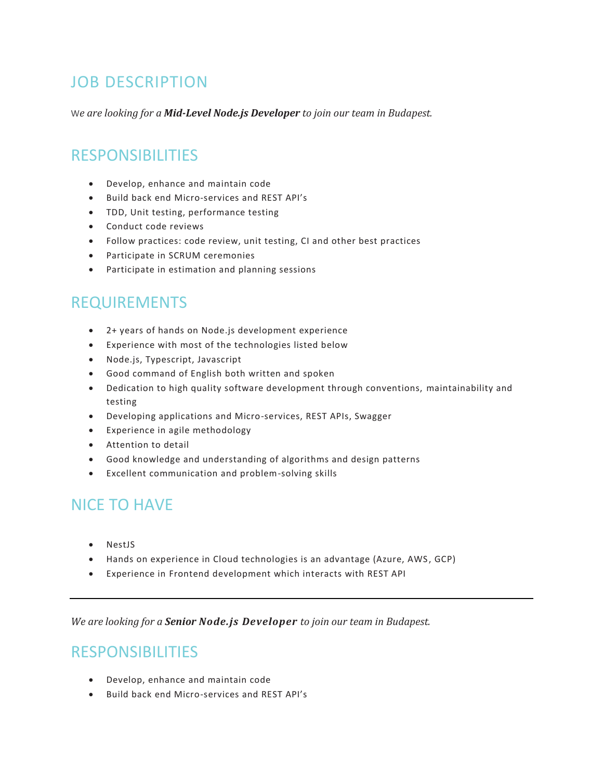### JOB DESCRIPTION

W*e are looking for a Mid-Level Node.js Developer to join our team in Budapest.*

#### RESPONSIBILITIES

- Develop, enhance and maintain code
- Build back end Micro-services and REST API's
- TDD, Unit testing, performance testing
- Conduct code reviews
- Follow practices: code review, unit testing, CI and other best practices
- Participate in SCRUM ceremonies
- Participate in estimation and planning sessions

#### REQUIREMENTS

- 2+ years of hands on Node.js development experience
- Experience with most of the technologies listed below
- Node.js, Typescript, Javascript
- Good command of English both written and spoken
- Dedication to high quality software development through conventions, maintainability and testing
- Developing applications and Micro-services, REST APIs, Swagger
- Experience in agile methodology
- Attention to detail
- Good knowledge and understanding of algorithms and design patterns
- Excellent communication and problem-solving skills

#### NICE TO HAVE

- NestJS
- Hands on experience in Cloud technologies is an advantage (Azure, AWS, GCP)
- Experience in Frontend development which interacts with REST API

*We are looking for a Senior Node.js Developer to join our team in Budapest.*

#### RESPONSIBILITIES

- Develop, enhance and maintain code
- Build back end Micro-services and REST API's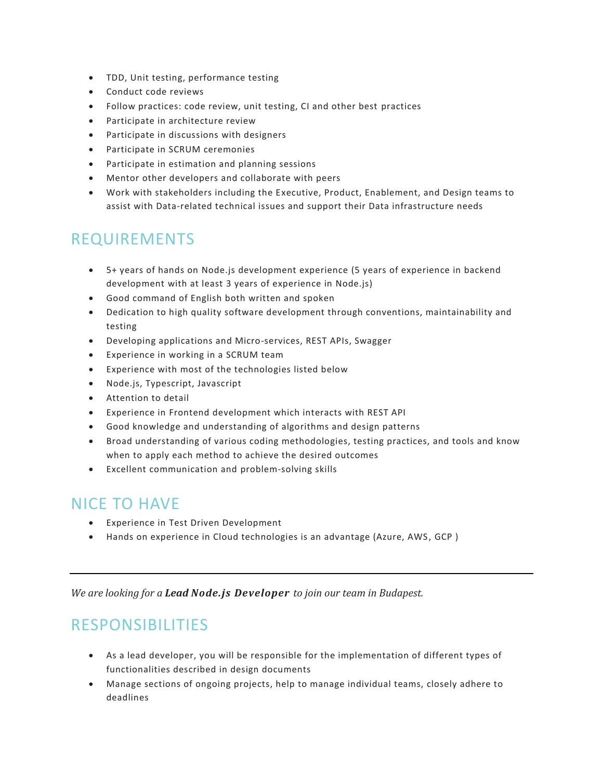- TDD, Unit testing, performance testing
- Conduct code reviews
- Follow practices: code review, unit testing, CI and other best practices
- Participate in architecture review
- Participate in discussions with designers
- Participate in SCRUM ceremonies
- Participate in estimation and planning sessions
- Mentor other developers and collaborate with peers
- Work with stakeholders including the Executive, Product, Enablement, and Design teams to assist with Data-related technical issues and support their Data infrastructure needs

#### REQUIREMENTS

- 5+ years of hands on Node.js development experience (5 years of experience in backend development with at least 3 years of experience in Node.js)
- Good command of English both written and spoken
- Dedication to high quality software development through conventions, maintainability and testing
- Developing applications and Micro-services, REST APIs, Swagger
- Experience in working in a SCRUM team
- Experience with most of the technologies listed below
- Node.js, Typescript, Javascript
- Attention to detail
- Experience in Frontend development which interacts with REST API
- Good knowledge and understanding of algorithms and design patterns
- Broad understanding of various coding methodologies, testing practices, and tools and know when to apply each method to achieve the desired outcomes
- Excellent communication and problem-solving skills

#### NICE TO HAVE

- Experience in Test Driven Development
- Hands on experience in Cloud technologies is an advantage (Azure, AWS, GCP)

*We are looking for a Lead Node.js Developer to join our team in Budapest.*

### RESPONSIBILITIES

- As a lead developer, you will be responsible for the implementation of different types of functionalities described in design documents
- Manage sections of ongoing projects, help to manage individual teams, closely adhere to deadlines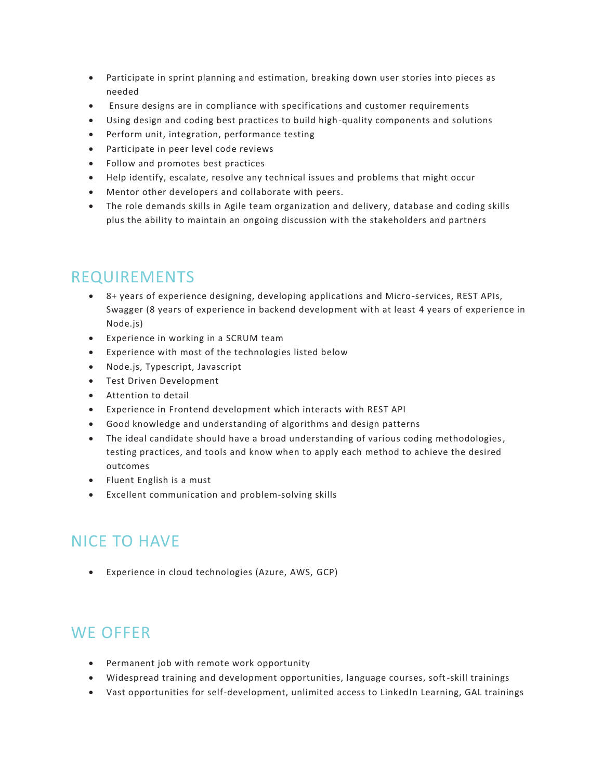- Participate in sprint planning and estimation, breaking down user stories into pieces as needed
- Ensure designs are in compliance with specifications and customer requirements
- Using design and coding best practices to build high-quality components and solutions
- Perform unit, integration, performance testing
- Participate in peer level code reviews
- Follow and promotes best practices
- Help identify, escalate, resolve any technical issues and problems that might occur
- Mentor other developers and collaborate with peers.
- The role demands skills in Agile team organization and delivery, database and coding skills plus the ability to maintain an ongoing discussion with the stakeholders and partners

#### REQUIREMENTS

- 8+ years of experience designing, developing applications and Micro-services, REST APIs, Swagger (8 years of experience in backend development with at least 4 years of experience in Node.js)
- Experience in working in a SCRUM team
- Experience with most of the technologies listed below
- Node.js, Typescript, Javascript
- Test Driven Development
- Attention to detail
- Experience in Frontend development which interacts with REST API
- Good knowledge and understanding of algorithms and design patterns
- The ideal candidate should have a broad understanding of various coding methodologies, testing practices, and tools and know when to apply each method to achieve the desired outcomes
- Fluent English is a must
- Excellent communication and problem-solving skills

### NICE TO HAVE

• Experience in cloud technologies (Azure, AWS, GCP)

### WE OFFER

- Permanent job with remote work opportunity
- Widespread training and development opportunities, language courses, soft-skill trainings
- Vast opportunities for self-development, unlimited access to LinkedIn Learning, GAL trainings